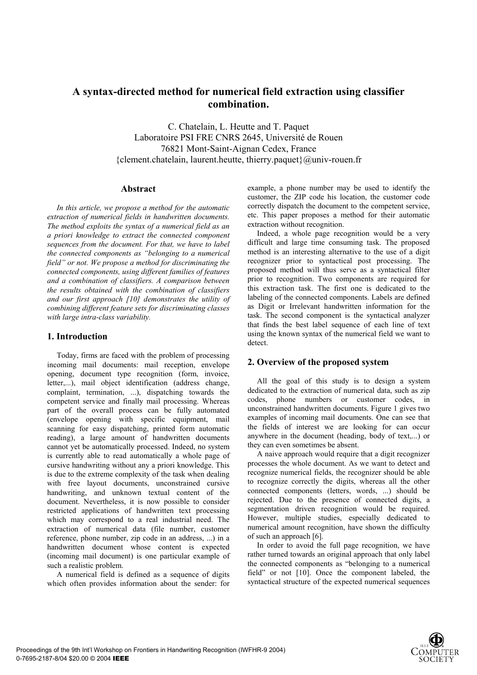# **A syntax-directed method for numerical field extraction using classifier combination.**

C. Chatelain, L. Heutte and T. Paquet Laboratoire PSI FRE CNRS 2645, Université de Rouen 76821 Mont-Saint-Aignan Cedex, France {clement.chatelain, laurent.heutte, thierry.paquet}@univ-rouen.fr

#### **Abstract**

*In this article, we propose a method for the automatic extraction of numerical fields in handwritten documents. The method exploits the syntax of a numerical field as an a priori knowledge to extract the connected component sequences from the document. For that, we have to label the connected components as "belonging to a numerical field" or not. We propose a method for discriminating the connected components, using different families of features and a combination of classifiers. A comparison between the results obtained with the combination of classifiers and our first approach [10] demonstrates the utility of combining different feature sets for discriminating classes with large intra-class variability.* 

## **1. Introduction**

Today, firms are faced with the problem of processing incoming mail documents: mail reception, envelope opening, document type recognition (form, invoice, letter....), mail object identification (address change, complaint, termination, ...), dispatching towards the competent service and finally mail processing. Whereas part of the overall process can be fully automated (envelope opening with specific equipment, mail scanning for easy dispatching, printed form automatic reading), a large amount of handwritten documents cannot yet be automatically processed. Indeed, no system is currently able to read automatically a whole page of cursive handwriting without any a priori knowledge. This is due to the extreme complexity of the task when dealing with free layout documents, unconstrained cursive handwriting, and unknown textual content of the document. Nevertheless, it is now possible to consider restricted applications of handwritten text processing which may correspond to a real industrial need. The extraction of numerical data (file number, customer reference, phone number, zip code in an address, ...) in a handwritten document whose content is expected (incoming mail document) is one particular example of such a realistic problem.

A numerical field is defined as a sequence of digits which often provides information about the sender: for

example, a phone number may be used to identify the customer, the ZIP code his location, the customer code correctly dispatch the document to the competent service, etc. This paper proposes a method for their automatic extraction without recognition.

Indeed, a whole page recognition would be a very difficult and large time consuming task. The proposed method is an interesting alternative to the use of a digit recognizer prior to syntactical post processing. The proposed method will thus serve as a syntactical filter prior to recognition. Two components are required for this extraction task. The first one is dedicated to the labeling of the connected components. Labels are defined as Digit or Irrelevant handwritten information for the task. The second component is the syntactical analyzer that finds the best label sequence of each line of text using the known syntax of the numerical field we want to detect.

## **2. Overview of the proposed system**

All the goal of this study is to design a system dedicated to the extraction of numerical data, such as zip codes, phone numbers or customer codes, in unconstrained handwritten documents. Figure 1 gives two examples of incoming mail documents. One can see that the fields of interest we are looking for can occur anywhere in the document (heading, body of text,...) or they can even sometimes be absent.

A naive approach would require that a digit recognizer processes the whole document. As we want to detect and recognize numerical fields, the recognizer should be able to recognize correctly the digits, whereas all the other connected components (letters, words, ...) should be rejected. Due to the presence of connected digits, a segmentation driven recognition would be required. However, multiple studies, especially dedicated to numerical amount recognition, have shown the difficulty of such an approach [6].

In order to avoid the full page recognition, we have rather turned towards an original approach that only label the connected components as "belonging to a numerical field" or not [10]. Once the component labeled, the syntactical structure of the expected numerical sequences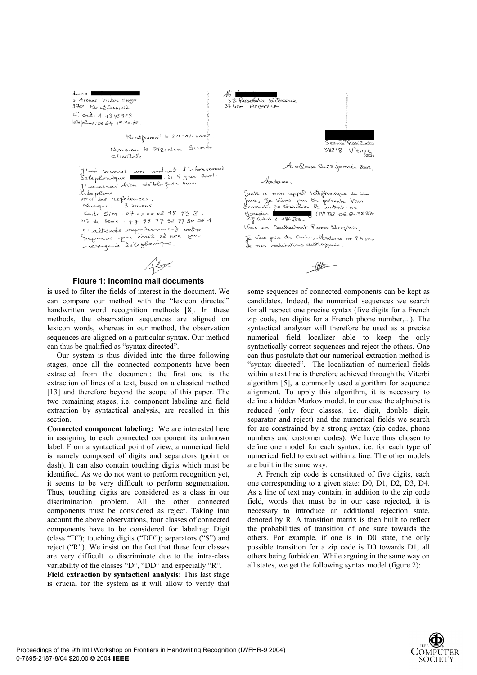

 $\frac{1}{\sqrt{2}}$ 

**Figure 1: Incoming mail documents**

is used to filter the fields of interest in the document. We can compare our method with the "lexicon directed" handwritten word recognition methods [8]. In these methods, the observation sequences are aligned on lexicon words, whereas in our method, the observation sequences are aligned on a particular syntax. Our method can thus be qualified as "syntax directed".

Our system is thus divided into the three following stages, once all the connected components have been extracted from the document: the first one is the extraction of lines of a text, based on a classical method [13] and therefore beyond the scope of this paper. The two remaining stages, i.e. component labeling and field extraction by syntactical analysis, are recalled in this section.

**Connected component labeling:** We are interested here in assigning to each connected component its unknown label. From a syntactical point of view, a numerical field is namely composed of digits and separators (point or dash). It can also contain touching digits which must be identified. As we do not want to perform recognition yet, it seems to be very difficult to perform segmentation. Thus, touching digits are considered as a class in our discrimination problem. All the other connected components must be considered as reject. Taking into account the above observations, four classes of connected components have to be considered for labeling: Digit (class "D"); touching digits ("DD"); separators ("S") and reject ("R"). We insist on the fact that these four classes are very difficult to discriminate due to the intra-class variability of the classes "D", "DD" and especially "R".

**Field extraction by syntactical analysis:** This last stage is crucial for the system as it will allow to verify that



AmBoise Ce28 janvier 2002,

badame,

Suite a mon appel telephonique de ce Jours à nou appen receptoinque la la<br>Jours, Je Viens par la présente Vais<br>Gerrander de Résilier le contrat de demander de Rebiener le contrat de<br>Monsieur de Luis de la CASE de GLISB37.<br>Fej contrat Luis 463.

Vous en Sachainmh Bonne Reception,

Je Vais prie de Croire, Madame en l'assur<br>de mes salutations distinguées

 $\pm$ 

some sequences of connected components can be kept as candidates. Indeed, the numerical sequences we search for all respect one precise syntax (five digits for a French zip code, ten digits for a French phone number,...). The syntactical analyzer will therefore be used as a precise numerical field localizer able to keep the only syntactically correct sequences and reject the others. One can thus postulate that our numerical extraction method is "syntax directed". The localization of numerical fields within a text line is therefore achieved through the Viterbi algorithm [5], a commonly used algorithm for sequence alignment. To apply this algorithm, it is necessary to define a hidden Markov model. In our case the alphabet is reduced (only four classes, i.e. digit, double digit, separator and reject) and the numerical fields we search for are constrained by a strong syntax (zip codes, phone numbers and customer codes). We have thus chosen to define one model for each syntax, i.e. for each type of numerical field to extract within a line. The other models are built in the same way.

A French zip code is constituted of five digits, each one corresponding to a given state: D0, D1, D2, D3, D4. As a line of text may contain, in addition to the zip code field, words that must be in our case rejected, it is necessary to introduce an additional rejection state, denoted by R. A transition matrix is then built to reflect the probabilities of transition of one state towards the others. For example, if one is in D0 state, the only possible transition for a zip code is D0 towards D1, all others being forbidden. While arguing in the same way on all states, we get the following syntax model (figure 2):

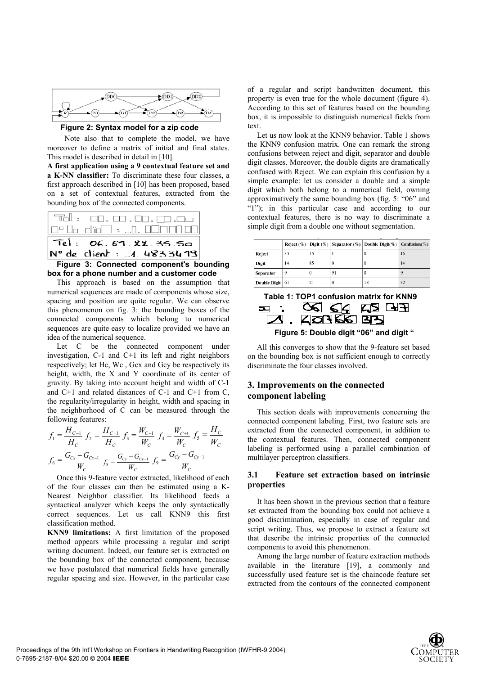

**Figure 2: Syntax model for a zip code**

 Note also that to complete the model, we have moreover to define a matrix of initial and final states. This model is described in detail in [10].

**A first application using a 9 contextual feature set and a K-NN classifier:** To discriminate these four classes, a first approach described in [10] has been proposed, based on a set of contextual features, extracted from the bounding box of the connected components.

| $\Box$ $\Box$ $\Box$ $\Box$ $\Box$ $\Box$ $\Box$ |
|--------------------------------------------------|
|                                                  |
|                                                  |
| $\boxed{7e}$ : 06.67.82.35.50                    |

**Figure 3: Connected component's bounding box for a phone number and a customer code**

This approach is based on the assumption that numerical sequences are made of components whose size, spacing and position are quite regular. We can observe this phenomenon on fig. 3: the bounding boxes of the connected components which belong to numerical sequences are quite easy to localize provided we have an idea of the numerical sequence.

Let C be the connected component under investigation, C-1 and C+1 its left and right neighbors respectively; let Hc, Wc , Gcx and Gcy be respectively its height, width, the X and Y coordinate of its center of gravity. By taking into account height and width of C-1 and C+1 and related distances of C-1 and C+1 from C, the regularity/irregularity in height, width and spacing in the neighborhood of C can be measured through the following features:

$$
f_1 = \frac{H_{C-1}}{H_C} f_2 = \frac{H_{C+1}}{H_C} f_3 = \frac{W_{C-1}}{W_C} f_4 = \frac{W_{C+1}}{W_C} f_5 = \frac{H_C}{W_C}
$$

$$
f_6 = \frac{G_{Cx} - G_{Cx-1}}{W_C} f_8 = \frac{G_{Cy} - G_{Cy-1}}{W_C} f_9 = \frac{G_{Cy} - G_{Cy+1}}{W_C}
$$

Once this 9-feature vector extracted, likelihood of each of the four classes can then be estimated using a K-Nearest Neighbor classifier. Its likelihood feeds a syntactical analyzer which keeps the only syntactically correct sequences. Let us call KNN9 this first classification method.

**KNN9 limitations:** A first limitation of the proposed method appears while processing a regular and script writing document. Indeed, our feature set is extracted on the bounding box of the connected component, because we have postulated that numerical fields have generally regular spacing and size. However, in the particular case

of a regular and script handwritten document, this property is even true for the whole document (figure 4). According to this set of features based on the bounding box, it is impossible to distinguish numerical fields from text.

Let us now look at the KNN9 behavior. Table 1 shows the KNN9 confusion matrix. One can remark the strong confusions between reject and digit, separator and double digit classes. Moreover, the double digits are dramatically confused with Reject. We can explain this confusion by a simple example: let us consider a double and a simple digit which both belong to a numerical field, owning approximatively the same bounding box (fig. 5: "06" and  $\binom{1}{1}$ ; in this particular case and according to our contextual features, there is no way to discriminate a simple digit from a double one without segmentation.

|                   |    |    |    | Reject (%)   Digit (%)   Separator (%)   Double Digit(%)   Confusion(%) |    |
|-------------------|----|----|----|-------------------------------------------------------------------------|----|
| Reject            | 83 | 15 |    |                                                                         | 16 |
| <b>Digit</b>      | 14 | 85 |    |                                                                         | 14 |
| Separator         |    | u  | 91 |                                                                         |    |
| Double Digit   61 |    | 21 |    | 18                                                                      | 82 |

**Table 1: TOP1 confusion matrix for KNN9**   $\mathbf{z}$ OG GA AS HA  $\sqrt{ }$ .  $Z$ orss br

**Figure 5: Double digit "06" and digit "** 

All this converges to show that the 9-feature set based on the bounding box is not sufficient enough to correctly discriminate the four classes involved.

# **3. Improvements on the connected component labeling**

This section deals with improvements concerning the connected component labeling. First, two feature sets are extracted from the connected component, in addition to the contextual features. Then, connected component labeling is performed using a parallel combination of multilayer perceptron classifiers.

#### **3.1 Feature set extraction based on intrinsic properties**

It has been shown in the previous section that a feature set extracted from the bounding box could not achieve a good discrimination, especially in case of regular and script writing. Thus, we propose to extract a feature set that describe the intrinsic properties of the connected components to avoid this phenomenon.

Among the large number of feature extraction methods available in the literature [19], a commonly and successfully used feature set is the chaincode feature set extracted from the contours of the connected component

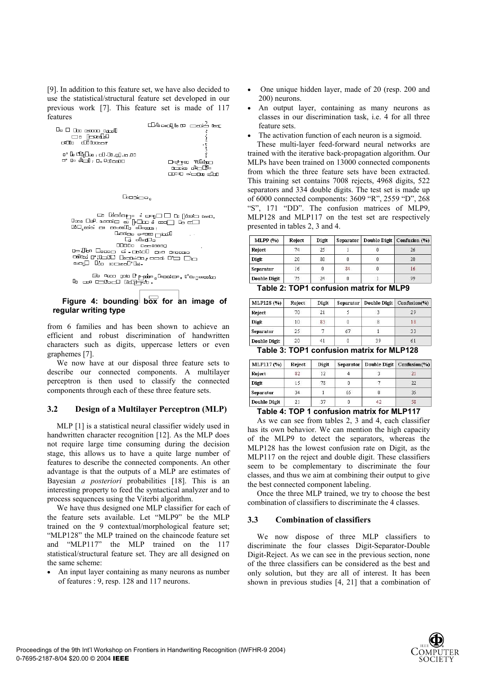[9]. In addition to this feature set, we have also decided to use the statistical/structural feature set developed in our previous work [7]. This feature set is made of 117 features



 $\square$ 

. en Diecome <u>i</u> eme en Diecom ook. **Dodes** were pool a dona<br>Daoine an Daoine n De Doore - Luis Bestace<br>- David The Doore - De Doore - Die - Die - Die - Die - Die - Die - Die - Die - Die - Die - Die - Die - Die - D<br>- Die - Toto - Die - Die - Die - Die - Die - Die - Die - Die - Die - Die - Die - Die en en pin d'<del>rain de contrant</del>.<br>In en code dist<u>re</u>nt .

# Figure 4: bounding box for an image of **regular writing type**

from 6 families and has been shown to achieve an efficient and robust discrimination of handwritten characters such as digits, uppercase letters or even graphemes [7].

We now have at our disposal three feature sets to describe our connected components. A multilayer perceptron is then used to classify the connected components through each of these three feature sets.

#### **3.2 Design of a Multilayer Perceptron (MLP)**

MLP [1] is a statistical neural classifier widely used in handwritten character recognition [12]. As the MLP does not require large time consuming during the decision stage, this allows us to have a quite large number of features to describe the connected components. An other advantage is that the outputs of a MLP are estimates of Bayesian *a posteriori* probabilities [18]. This is an interesting property to feed the syntactical analyzer and to process sequences using the Viterbi algorithm.

We have thus designed one MLP classifier for each of the feature sets available. Let "MLP9" be the MLP trained on the 9 contextual/morphological feature set; "MLP128" the MLP trained on the chaincode feature set and "MLP117" the MLP trained on the 117 statistical/structural feature set. They are all designed on the same scheme:

• An input layer containing as many neurons as number of features : 9, resp. 128 and 117 neurons.

- One unique hidden layer, made of 20 (resp. 200 and 200) neurons.
- An output layer, containing as many neurons as classes in our discrimination task, i.e. 4 for all three feature sets.
- The activation function of each neuron is a sigmoid.

These multi-layer feed-forward neural networks are trained with the iterative back-propagation algorithm. Our MLPs have been trained on 13000 connected components from which the three feature sets have been extracted. This training set contains 7008 rejects, 4968 digits, 522 separators and 334 double digits. The test set is made up of 6000 connected components: 3609 "R", 2559 "D", 268 "S", 171 "DD". The confusion matrices of MLP9, MLP128 and MLP117 on the test set are respectively presented in tables 2, 3 and 4.

| MLP9 (%)            | Reject | Digit | Separator |   | Double Digit   Confusion (%) |
|---------------------|--------|-------|-----------|---|------------------------------|
| Reject              | 74     | 25    |           | u | 26                           |
| Digit               | 20     | 80    |           |   | 20                           |
| Separator           | 16     | ۵     | 84        | u | 16                           |
| <b>Double Digit</b> | 75     | 24    |           |   | 99                           |

**Table 2: TOP1 confusion matrix for MLP9**

| MLP128 (%)          | Reject | Digit | Separator | Double Digit | $Confusion(\%)$ |
|---------------------|--------|-------|-----------|--------------|-----------------|
| Reject              | 70     | 21    |           |              | 29              |
| Digit               | 10     | 83    |           |              | 18              |
| Separator           | 25     |       | 67        |              | 33              |
| <b>Double Digit</b> | 20     | 41    | 0         | 39           | 61              |

**Table 3: TOP1 confusion matrix for MLP128**

| MLP117 (%)          | Reject | Digit | Separator |    | Double Digit   Confusion(%) |
|---------------------|--------|-------|-----------|----|-----------------------------|
| Reject              | 82     | 12    |           |    | 21                          |
| Digit               | 15     | 78    |           |    | 22                          |
| Separator           | 34     |       | 65        |    | 35                          |
| <b>Double Digit</b> | 21     | 37    |           | 42 | 58                          |

**Table 4: TOP 1 confusion matrix for MLP117**

As we can see from tables 2, 3 and 4, each classifier has its own behavior. We can mention the high capacity of the MLP9 to detect the separators, whereas the MLP128 has the lowest confusion rate on Digit, as the MLP117 on the reject and double digit. These classifiers seem to be complementary to discriminate the four classes, and thus we aim at combining their output to give the best connected component labeling.

Once the three MLP trained, we try to choose the best combination of classifiers to discriminate the 4 classes.

#### **3.3 Combination of classifiers**

We now dispose of three MLP classifiers to discriminate the four classes Digit-Separator-Double Digit-Reject. As we can see in the previous section, none of the three classifiers can be considered as the best and only solution, but they are all of interest. It has been shown in previous studies [4, 21] that a combination of

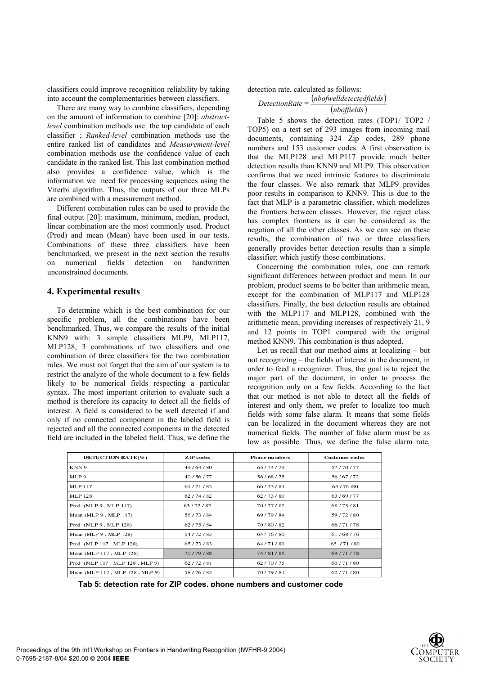classifiers could improve recognition reliability by taking into account the complementarities between classifiers.

There are many way to combine classifiers, depending on the amount of information to combine [20]: *abstractlevel* combination methods use the top candidate of each classifier ; *Ranked-level* combination methods use the entire ranked list of candidates and *Measurement-level*  combination methods use the confidence value of each candidate in the ranked list. This last combination method also provides a confidence value, which is the information we need for processing sequences using the Viterbi algorithm. Thus, the outputs of our three MLPs are combined with a measurement method.

Different combination rules can be used to provide the final output [20]: maximum, minimum, median, product, linear combination are the most commonly used. Product (Prod) and mean (Mean) have been used in our tests. Combinations of these three classifiers have been benchmarked, we present in the next section the results numerical fields detection on handwritten unconstrained documents.

## **4. Experimental results**

To determine which is the best combination for our specific problem, all the combinations have been benchmarked. Thus, we compare the results of the initial KNN9 with: 3 simple classifiers MLP9, MLP117, MLP128, 3 combinations of two classifiers and one combination of three classifiers for the two combination rules. We must not forget that the aim of our system is to restrict the analyze of the whole document to a few fields likely to be numerical fields respecting a particular syntax. The most important criterion to evaluate such a method is therefore its capacity to detect all the fields of interest. A field is considered to be well detected if and only if no connected component in the labeled field is rejected and all the connected components in the detected field are included in the labeled field. Thus, we define the detection rate, calculated as follows:

 $DetectionRate = \frac{(nbofwelldetectedfields)}{(1 - x^2 + 1)}$  $(nb \text{offields})$ 

Table 5 shows the detection rates (TOP1/ TOP2 / TOP5) on a test set of 293 images from incoming mail documents, containing 324 Zip codes, 289 phone numbers and 153 customer codes. A first observation is that the MLP128 and MLP117 provide much better detection results than KNN9 and MLP9. This observation confirms that we need intrinsic features to discriminate the four classes. We also remark that MLP9 provides poor results in comparison to KNN9. This is due to the fact that MLP is a parametric classifier, which modelizes the frontiers between classes. However, the reject class has complex frontiers as it can be considered as the negation of all the other classes. As we can see on these results, the combination of two or three classifiers generally provides better detection results than a simple classifier; which justify those combinations.

Concerning the combination rules, one can remark significant differences between product and mean. In our problem, product seems to be better than arithmetic mean, except for the combination of MLP117 and MLP128 classifiers. Finally, the best detection results are obtained with the MLP117 and MLP128, combined with the arithmetic mean, providing increases of respectively 21, 9 and 12 points in TOP1 compared with the original method KNN9. This combination is thus adopted.

Let us recall that our method aims at localizing – but not recognizing – the fields of interest in the document, in order to feed a recognizer. Thus, the goal is to reject the major part of the document, in order to process the recognition only on a few fields. According to the fact that our method is not able to detect all the fields of interest and only them, we prefer to localize too much fields with some false alarm. It means that some fields can be localized in the document whereas they are not numerical fields. The number of false alarm must be as low as possible. Thus, we define the false alarm rate,

| <b>DETECTION RATE(%)</b>       | ZIP codes    | <b>Phone numbers</b> | <b>Customer</b> codes |
|--------------------------------|--------------|----------------------|-----------------------|
| KNN 9                          | 49/64/80     | 65/74/79             | 57 / 70 / 77          |
| MLP 9                          | 40 / 56 / 77 | 56/68/75             | 56/67/72              |
| <b>MLP 117</b>                 | 61/71/83     | 66/73/81             | 63 / 76 / 80          |
| MLP 128                        | 62/74/82     | 62/73/80             | 63/69/77              |
| Prod (MLP 9, MLP 117)          | 63/72/82     | 70/77/82             | 68/73/81              |
| Mean $(MLP 9, MLP 117)$        | 56 / 73 / 84 | 69/79/84             | 59 / 72 / 80          |
| Prod (MLP 9, MLP 128)          | 62 / 75 / 84 | 70/80/82             | 66/71/78              |
| Mean (MLP 9, MLP 128)          | 54 / 72 / 83 | 64/76/80             | 61/68/76              |
| Prod (MLP 117, MLP 128)        | 65/73/83     | 64/71/80             | 65 / 71 / 80          |
| Mean (MLP 117, MLP 128)        | 70/79/88     | 74/81/85             | 69/71/78              |
| Prod (MLP 117, MLP 128, MLP 9) | 62/72/81     | 62/70/75             | 60/71/80              |
| Mean (MLP 117, MLP 128, MLP 9) | 58/76/85     | 70/79/84             | 62/71/80              |

**Tab 5: detection rate for ZIP codes, phone numbers and customer code**